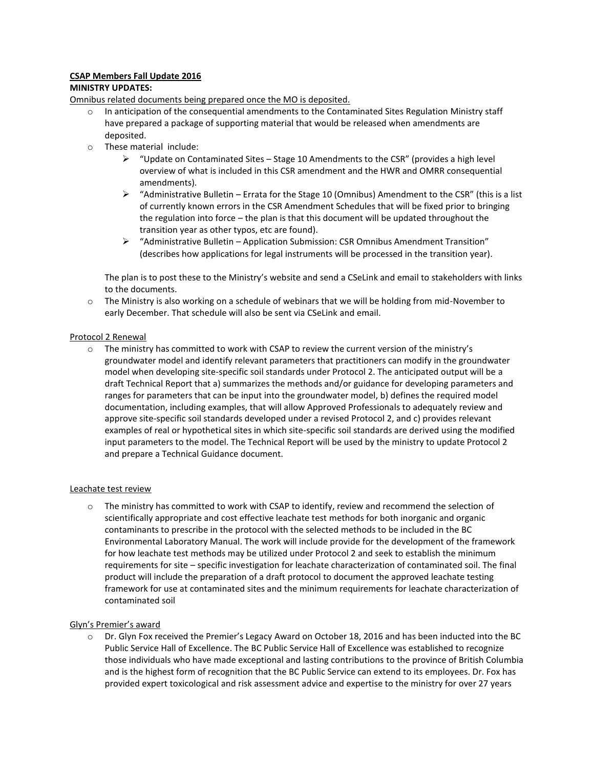# **CSAP Members Fall Update 2016**

# **MINISTRY UPDATES:**

Omnibus related documents being prepared once the MO is deposited.

- o In anticipation of the consequential amendments to the Contaminated Sites Regulation Ministry staff have prepared a package of supporting material that would be released when amendments are deposited.
- o These material include:
	- $\triangleright$  "Update on Contaminated Sites Stage 10 Amendments to the CSR" (provides a high level overview of what is included in this CSR amendment and the HWR and OMRR consequential amendments).
	- $\triangleright$  "Administrative Bulletin Errata for the Stage 10 (Omnibus) Amendment to the CSR" (this is a list of currently known errors in the CSR Amendment Schedules that will be fixed prior to bringing the regulation into force – the plan is that this document will be updated throughout the transition year as other typos, etc are found).
	- $\triangleright$  "Administrative Bulletin Application Submission: CSR Omnibus Amendment Transition" (describes how applications for legal instruments will be processed in the transition year).

The plan is to post these to the Ministry's website and send a CSeLink and email to stakeholders with links to the documents.

 $\circ$  The Ministry is also working on a schedule of webinars that we will be holding from mid-November to early December. That schedule will also be sent via CSeLink and email.

# Protocol 2 Renewal

o The ministry has committed to work with CSAP to review the current version of the ministry's groundwater model and identify relevant parameters that practitioners can modify in the groundwater model when developing site-specific soil standards under Protocol 2. The anticipated output will be a draft Technical Report that a) summarizes the methods and/or guidance for developing parameters and ranges for parameters that can be input into the groundwater model, b) defines the required model documentation, including examples, that will allow Approved Professionals to adequately review and approve site-specific soil standards developed under a revised Protocol 2, and c) provides relevant examples of real or hypothetical sites in which site-specific soil standards are derived using the modified input parameters to the model. The Technical Report will be used by the ministry to update Protocol 2 and prepare a Technical Guidance document.

# Leachate test review

o The ministry has committed to work with CSAP to identify, review and recommend the selection of scientifically appropriate and cost effective leachate test methods for both inorganic and organic contaminants to prescribe in the protocol with the selected methods to be included in the BC Environmental Laboratory Manual. The work will include provide for the development of the framework for how leachate test methods may be utilized under Protocol 2 and seek to establish the minimum requirements for site – specific investigation for leachate characterization of contaminated soil. The final product will include the preparation of a draft protocol to document the approved leachate testing framework for use at contaminated sites and the minimum requirements for leachate characterization of contaminated soil

# Glyn's Premier's award

o Dr. Glyn Fox received the Premier's Legacy Award on October 18, 2016 and has been inducted into the BC Public Service Hall of Excellence. The BC Public Service Hall of Excellence was established to recognize those individuals who have made exceptional and lasting contributions to the province of British Columbia and is the highest form of recognition that the BC Public Service can extend to its employees. Dr. Fox has provided expert toxicological and risk assessment advice and expertise to the ministry for over 27 years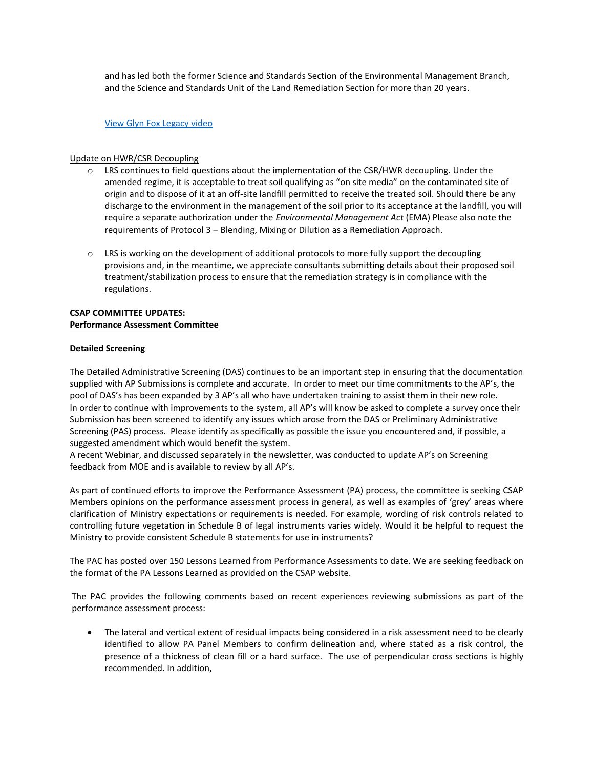and has led both the former Science and Standards Section of the Environmental Management Branch, and the Science and Standards Unit of the Land Remediation Section for more than 20 years.

#### [View Glyn Fox Legacy video](http://www2.gov.bc.ca/gov/content/governments/organizational-structure/public-service/hall-of-excellence/glyn-fox)

#### Update on HWR/CSR Decoupling

- o LRS continues to field questions about the implementation of the CSR/HWR decoupling. Under the amended regime, it is acceptable to treat soil qualifying as "on site media" on the contaminated site of origin and to dispose of it at an off-site landfill permitted to receive the treated soil. Should there be any discharge to the environment in the management of the soil prior to its acceptance at the landfill, you will require a separate authorization under the *Environmental Management Act* (EMA) Please also note the requirements of Protocol 3 – Blending, Mixing or Dilution as a Remediation Approach.
- $\circ$  LRS is working on the development of additional protocols to more fully support the decoupling provisions and, in the meantime, we appreciate consultants submitting details about their proposed soil treatment/stabilization process to ensure that the remediation strategy is in compliance with the regulations.

# **CSAP COMMITTEE UPDATES: Performance Assessment Committee**

#### **Detailed Screening**

The Detailed Administrative Screening (DAS) continues to be an important step in ensuring that the documentation supplied with AP Submissions is complete and accurate. In order to meet our time commitments to the AP's, the pool of DAS's has been expanded by 3 AP's all who have undertaken training to assist them in their new role. In order to continue with improvements to the system, all AP's will know be asked to complete a survey once their Submission has been screened to identify any issues which arose from the DAS or Preliminary Administrative Screening (PAS) process. Please identify as specifically as possible the issue you encountered and, if possible, a suggested amendment which would benefit the system.

A recent Webinar, and discussed separately in the newsletter, was conducted to update AP's on Screening feedback from MOE and is available to review by all AP's.

As part of continued efforts to improve the Performance Assessment (PA) process, the committee is seeking CSAP Members opinions on the performance assessment process in general, as well as examples of 'grey' areas where clarification of Ministry expectations or requirements is needed. For example, wording of risk controls related to controlling future vegetation in Schedule B of legal instruments varies widely. Would it be helpful to request the Ministry to provide consistent Schedule B statements for use in instruments?

The PAC has posted over 150 Lessons Learned from Performance Assessments to date. We are seeking feedback on the format of the PA Lessons Learned as provided on the CSAP website.

The PAC provides the following comments based on recent experiences reviewing submissions as part of the performance assessment process:

 The lateral and vertical extent of residual impacts being considered in a risk assessment need to be clearly identified to allow PA Panel Members to confirm delineation and, where stated as a risk control, the presence of a thickness of clean fill or a hard surface. The use of perpendicular cross sections is highly recommended. In addition,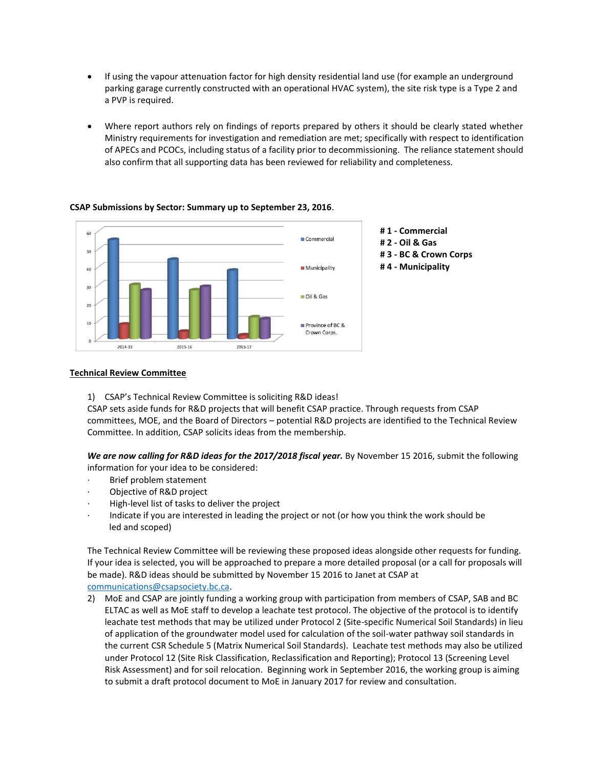- If using the vapour attenuation factor for high density residential land use (for example an underground parking garage currently constructed with an operational HVAC system), the site risk type is a Type 2 and a PVP is required.
- Where report authors rely on findings of reports prepared by others it should be clearly stated whether Ministry requirements for investigation and remediation are met; specifically with respect to identification of APECs and PCOCs, including status of a facility prior to decommissioning. The reliance statement should also confirm that all supporting data has been reviewed for reliability and completeness.



# **CSAP Submissions by Sector: Summary up to September 23, 2016**.

# **Technical Review Committee**

1) CSAP's Technical Review Committee is soliciting R&D ideas!

CSAP sets aside funds for R&D projects that will benefit CSAP practice. Through requests from CSAP committees, MOE, and the Board of Directors – potential R&D projects are identified to the Technical Review Committee. In addition, CSAP solicits ideas from the membership.

*We are now calling for R&D ideas for the 2017/2018 fiscal year.* By November 15 2016, submit the following information for your idea to be considered:

- Brief problem statement
- Objective of R&D project
- High-level list of tasks to deliver the project
- Indicate if you are interested in leading the project or not (or how you think the work should be led and scoped)

The Technical Review Committee will be reviewing these proposed ideas alongside other requests for funding. If your idea is selected, you will be approached to prepare a more detailed proposal (or a call for proposals will be made). R&D ideas should be submitted by November 15 2016 to Janet at CSAP at [communications@csapsociety.bc.ca.](mailto:communications@csapsociety.bc.ca)

2) MoE and CSAP are jointly funding a working group with participation from members of CSAP, SAB and BC ELTAC as well as MoE staff to develop a leachate test protocol. The objective of the protocol is to identify leachate test methods that may be utilized under Protocol 2 (Site-specific Numerical Soil Standards) in lieu of application of the groundwater model used for calculation of the soil-water pathway soil standards in the current CSR Schedule 5 (Matrix Numerical Soil Standards). Leachate test methods may also be utilized under Protocol 12 (Site Risk Classification, Reclassification and Reporting); Protocol 13 (Screening Level Risk Assessment) and for soil relocation. Beginning work in September 2016, the working group is aiming to submit a draft protocol document to MoE in January 2017 for review and consultation.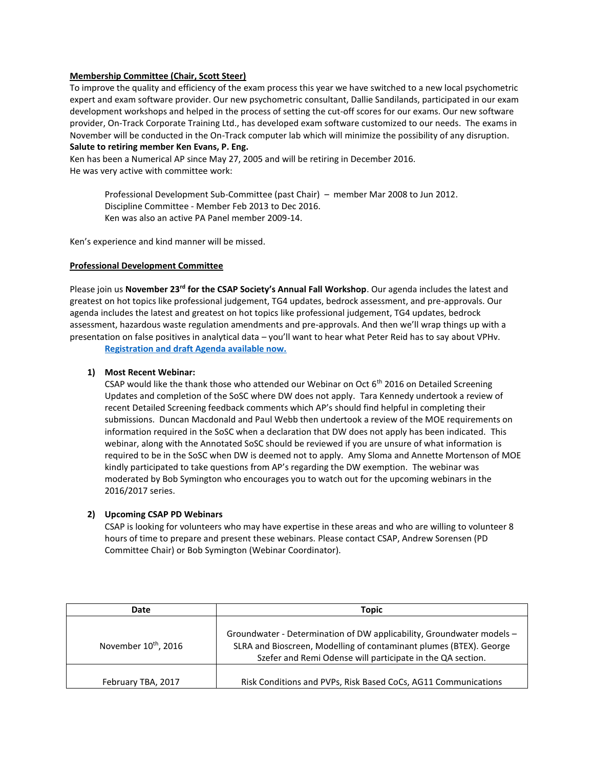### **Membership Committee (Chair, Scott Steer)**

To improve the quality and efficiency of the exam process this year we have switched to a new local psychometric expert and exam software provider. Our new psychometric consultant, Dallie Sandilands, participated in our exam development workshops and helped in the process of setting the cut-off scores for our exams. Our new software provider, On-Track Corporate Training Ltd., has developed exam software customized to our needs. The exams in November will be conducted in the On-Track computer lab which will minimize the possibility of any disruption. **Salute to retiring member Ken Evans, P. Eng.**

Ken has been a Numerical AP since May 27, 2005 and will be retiring in December 2016. He was very active with committee work:

> Professional Development Sub-Committee (past Chair) – member Mar 2008 to Jun 2012. Discipline Committee - Member Feb 2013 to Dec 2016. Ken was also an active PA Panel member 2009-14.

Ken's experience and kind manner will be missed.

### **Professional Development Committee**

Please join us **November 23rd for the CSAP Society's Annual Fall Workshop**. Our agenda includes the latest and greatest on hot topics like professional judgement, TG4 updates, bedrock assessment, and pre-approvals. Our agenda includes the latest and greatest on hot topics like professional judgement, TG4 updates, bedrock assessment, hazardous waste regulation amendments and pre-approvals. And then we'll wrap things up with a presentation on false positives in analytical data – you'll want to hear what Peter Reid has to say about VPHv.

**[Registration and draft Agenda available now.](http://csapsociety.bc.ca/events/)**

### **1) Most Recent Webinar:**

CSAP would like the thank those who attended our Webinar on Oct  $6<sup>th</sup>$  2016 on Detailed Screening Updates and completion of the SoSC where DW does not apply. Tara Kennedy undertook a review of recent Detailed Screening feedback comments which AP's should find helpful in completing their submissions. Duncan Macdonald and Paul Webb then undertook a review of the MOE requirements on information required in the SoSC when a declaration that DW does not apply has been indicated. This webinar, along with the Annotated SoSC should be reviewed if you are unsure of what information is required to be in the SoSC when DW is deemed not to apply. Amy Sloma and Annette Mortenson of MOE kindly participated to take questions from AP's regarding the DW exemption. The webinar was moderated by Bob Symington who encourages you to watch out for the upcoming webinars in the 2016/2017 series.

# **2) Upcoming CSAP PD Webinars**

CSAP is looking for volunteers who may have expertise in these areas and who are willing to volunteer 8 hours of time to prepare and present these webinars. Please contact CSAP, Andrew Sorensen (PD Committee Chair) or Bob Symington (Webinar Coordinator).

| Date                             | Topic                                                                                                                                                                                                     |  |
|----------------------------------|-----------------------------------------------------------------------------------------------------------------------------------------------------------------------------------------------------------|--|
| November 10 <sup>th</sup> , 2016 | Groundwater - Determination of DW applicability, Groundwater models -<br>SLRA and Bioscreen, Modelling of contaminant plumes (BTEX). George<br>Szefer and Remi Odense will participate in the QA section. |  |
| February TBA, 2017               | Risk Conditions and PVPs, Risk Based CoCs, AG11 Communications                                                                                                                                            |  |